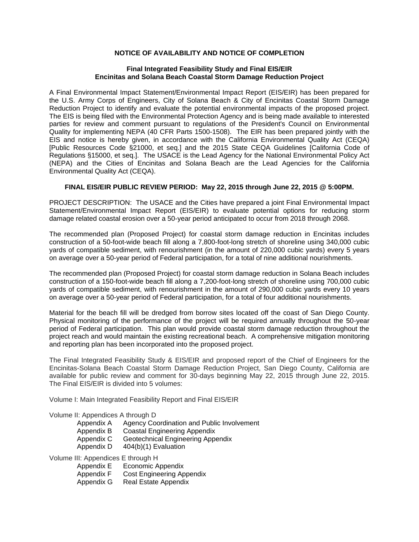## **NOTICE OF AVAILABILITY AND NOTICE OF COMPLETION**

## **Final Integrated Feasibility Study and Final EIS/EIR Encinitas and Solana Beach Coastal Storm Damage Reduction Project**

A Final Environmental Impact Statement/Environmental Impact Report (EIS/EIR) has been prepared for the U.S. Army Corps of Engineers, City of Solana Beach & City of Encinitas Coastal Storm Damage Reduction Project to identify and evaluate the potential environmental impacts of the proposed project. The EIS is being filed with the Environmental Protection Agency and is being made available to interested parties for review and comment pursuant to regulations of the President's Council on Environmental Quality for implementing NEPA (40 CFR Parts 1500-1508). The EIR has been prepared jointly with the EIS and notice is hereby given, in accordance with the California Environmental Quality Act (CEQA) [Public Resources Code §21000, et seq.] and the 2015 State CEQA Guidelines [California Code of Regulations §15000, et seq.]. The USACE is the Lead Agency for the National Environmental Policy Act (NEPA) and the Cities of Encinitas and Solana Beach are the Lead Agencies for the California Environmental Quality Act (CEQA).

## **FINAL EIS/EIR PUBLIC REVIEW PERIOD: May 22, 2015 through June 22, 2015 @ 5:00PM.**

PROJECT DESCRIPTION: The USACE and the Cities have prepared a joint Final Environmental Impact Statement/Environmental Impact Report (EIS/EIR) to evaluate potential options for reducing storm damage related coastal erosion over a 50-year period anticipated to occur from 2018 through 2068.

The recommended plan (Proposed Project) for coastal storm damage reduction in Encinitas includes construction of a 50-foot-wide beach fill along a 7,800-foot-long stretch of shoreline using 340,000 cubic yards of compatible sediment, with renourishment (in the amount of 220,000 cubic yards) every 5 years on average over a 50-year period of Federal participation, for a total of nine additional nourishments.

The recommended plan (Proposed Project) for coastal storm damage reduction in Solana Beach includes construction of a 150-foot-wide beach fill along a 7,200-foot-long stretch of shoreline using 700,000 cubic yards of compatible sediment, with renourishment in the amount of 290,000 cubic yards every 10 years on average over a 50-year period of Federal participation, for a total of four additional nourishments.

Material for the beach fill will be dredged from borrow sites located off the coast of San Diego County. Physical monitoring of the performance of the project will be required annually throughout the 50-year period of Federal participation. This plan would provide coastal storm damage reduction throughout the project reach and would maintain the existing recreational beach. A comprehensive mitigation monitoring and reporting plan has been incorporated into the proposed project.

The Final Integrated Feasibility Study & EIS/EIR and proposed report of the Chief of Engineers for the Encinitas-Solana Beach Coastal Storm Damage Reduction Project, San Diego County, California are available for public review and comment for 30-days beginning May 22, 2015 through June 22, 2015. The Final EIS/EIR is divided into 5 volumes:

Volume I: Main Integrated Feasibility Report and Final EIS/EIR

Volume II: Appendices A through D

- Appendix A Agency Coordination and Public Involvement
- Appendix B Coastal Engineering Appendix
- Appendix C Geotechnical Engineering Appendix
- Appendix D 404(b)(1) Evaluation

Volume III: Appendices E through H

- Appendix E Economic Appendix
- Appendix F Cost Engineering Appendix

Appendix G Real Estate Appendix